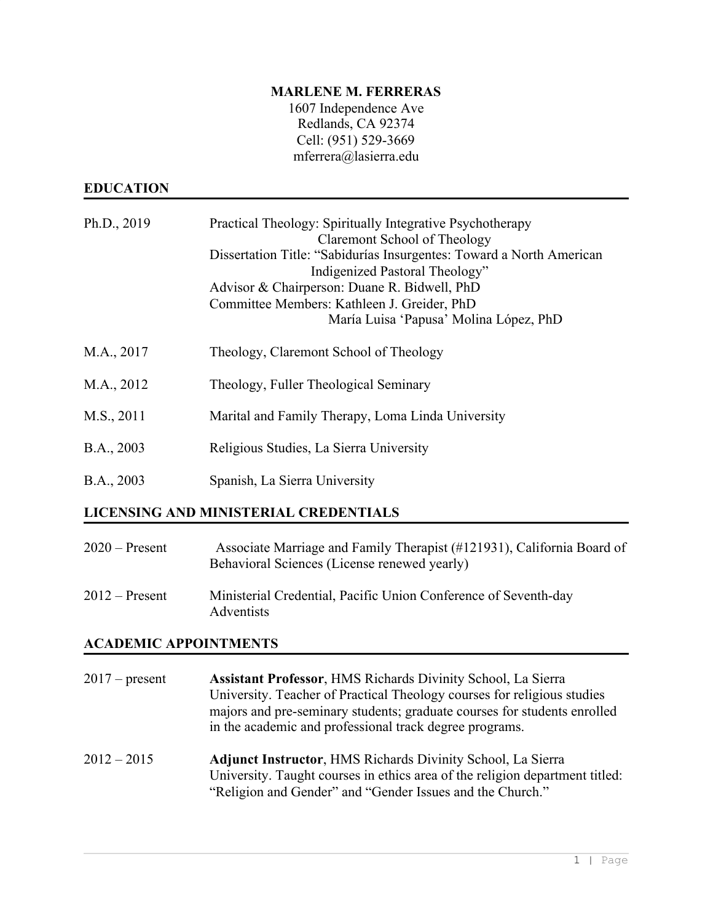### **MARLENE M. FERRERAS**

1607 Independence Ave Redlands, CA 92374 Cell: (951) 529-3669 [mferrera@lasierra.edu](mailto:mferrera@lasierra.edu)

# **EDUCATION**

| Ph.D., 2019                           | Practical Theology: Spiritually Integrative Psychotherapy<br>Claremont School of Theology<br>Dissertation Title: "Sabidurías Insurgentes: Toward a North American<br>Indigenized Pastoral Theology"<br>Advisor & Chairperson: Duane R. Bidwell, PhD<br>Committee Members: Kathleen J. Greider, PhD<br>María Luisa 'Papusa' Molina López, PhD |
|---------------------------------------|----------------------------------------------------------------------------------------------------------------------------------------------------------------------------------------------------------------------------------------------------------------------------------------------------------------------------------------------|
| M.A., 2017                            | Theology, Claremont School of Theology                                                                                                                                                                                                                                                                                                       |
| M.A., 2012                            | Theology, Fuller Theological Seminary                                                                                                                                                                                                                                                                                                        |
| M.S., 2011                            | Marital and Family Therapy, Loma Linda University                                                                                                                                                                                                                                                                                            |
| B.A., 2003                            | Religious Studies, La Sierra University                                                                                                                                                                                                                                                                                                      |
| B.A., 2003                            | Spanish, La Sierra University                                                                                                                                                                                                                                                                                                                |
| LICENSING AND MINISTERIAL CREDENTIALS |                                                                                                                                                                                                                                                                                                                                              |

| $2020$ – Present | Associate Marriage and Family Therapist (#121931), California Board of<br>Behavioral Sciences (License renewed yearly) |
|------------------|------------------------------------------------------------------------------------------------------------------------|
| $2012$ – Present | Ministerial Credential, Pacific Union Conference of Seventh-day<br>Adventists                                          |

# **ACADEMIC APPOINTMENTS**

| $2017$ – present | Assistant Professor, HMS Richards Divinity School, La Sierra<br>University. Teacher of Practical Theology courses for religious studies<br>majors and pre-seminary students; graduate courses for students enrolled<br>in the academic and professional track degree programs. |
|------------------|--------------------------------------------------------------------------------------------------------------------------------------------------------------------------------------------------------------------------------------------------------------------------------|
| $2012 - 2015$    | <b>Adjunct Instructor, HMS Richards Divinity School, La Sierra</b><br>University. Taught courses in ethics area of the religion department titled:<br>"Religion and Gender" and "Gender Issues and the Church."                                                                |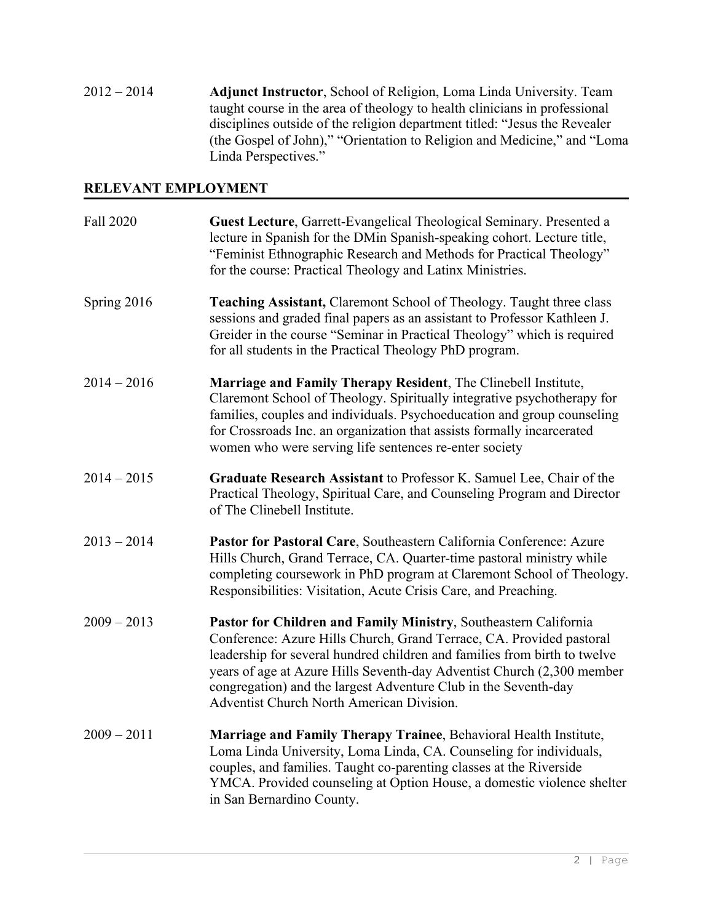2012 – 2014 **Adjunct Instructor**, School of Religion, Loma Linda University. Team taught course in the area of theology to health clinicians in professional disciplines outside of the religion department titled: "Jesus the Revealer (the Gospel of John)," "Orientation to Religion and Medicine," and "Loma Linda Perspectives."

## **RELEVANT EMPLOYMENT**

| Fall 2020     | Guest Lecture, Garrett-Evangelical Theological Seminary. Presented a<br>lecture in Spanish for the DMin Spanish-speaking cohort. Lecture title,<br>"Feminist Ethnographic Research and Methods for Practical Theology"<br>for the course: Practical Theology and Latinx Ministries.                                                                                                                                    |
|---------------|------------------------------------------------------------------------------------------------------------------------------------------------------------------------------------------------------------------------------------------------------------------------------------------------------------------------------------------------------------------------------------------------------------------------|
| Spring 2016   | <b>Teaching Assistant, Claremont School of Theology. Taught three class</b><br>sessions and graded final papers as an assistant to Professor Kathleen J.<br>Greider in the course "Seminar in Practical Theology" which is required<br>for all students in the Practical Theology PhD program.                                                                                                                         |
| $2014 - 2016$ | Marriage and Family Therapy Resident, The Clinebell Institute,<br>Claremont School of Theology. Spiritually integrative psychotherapy for<br>families, couples and individuals. Psychoeducation and group counseling<br>for Crossroads Inc. an organization that assists formally incarcerated<br>women who were serving life sentences re-enter society                                                               |
| $2014 - 2015$ | Graduate Research Assistant to Professor K. Samuel Lee, Chair of the<br>Practical Theology, Spiritual Care, and Counseling Program and Director<br>of The Clinebell Institute.                                                                                                                                                                                                                                         |
| $2013 - 2014$ | Pastor for Pastoral Care, Southeastern California Conference: Azure<br>Hills Church, Grand Terrace, CA. Quarter-time pastoral ministry while<br>completing coursework in PhD program at Claremont School of Theology.<br>Responsibilities: Visitation, Acute Crisis Care, and Preaching.                                                                                                                               |
| $2009 - 2013$ | Pastor for Children and Family Ministry, Southeastern California<br>Conference: Azure Hills Church, Grand Terrace, CA. Provided pastoral<br>leadership for several hundred children and families from birth to twelve<br>years of age at Azure Hills Seventh-day Adventist Church (2,300 member<br>congregation) and the largest Adventure Club in the Seventh-day<br><b>Adventist Church North American Division.</b> |
| $2009 - 2011$ | Marriage and Family Therapy Trainee, Behavioral Health Institute,<br>Loma Linda University, Loma Linda, CA. Counseling for individuals,<br>couples, and families. Taught co-parenting classes at the Riverside<br>YMCA. Provided counseling at Option House, a domestic violence shelter<br>in San Bernardino County.                                                                                                  |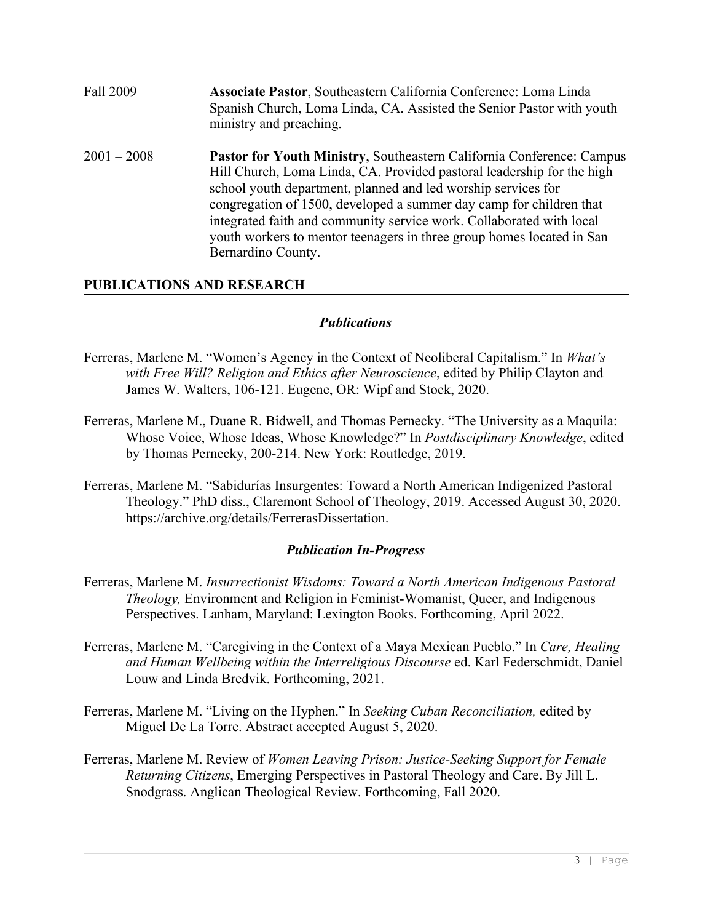| Fall 2009     | Associate Pastor, Southeastern California Conference: Loma Linda<br>Spanish Church, Loma Linda, CA. Assisted the Senior Pastor with youth<br>ministry and preaching.                                                                                                                                                                                                                                                                                           |
|---------------|----------------------------------------------------------------------------------------------------------------------------------------------------------------------------------------------------------------------------------------------------------------------------------------------------------------------------------------------------------------------------------------------------------------------------------------------------------------|
| $2001 - 2008$ | Pastor for Youth Ministry, Southeastern California Conference: Campus<br>Hill Church, Loma Linda, CA. Provided pastoral leadership for the high<br>school youth department, planned and led worship services for<br>congregation of 1500, developed a summer day camp for children that<br>integrated faith and community service work. Collaborated with local<br>youth workers to mentor teenagers in three group homes located in San<br>Bernardino County. |

## **PUBLICATIONS AND RESEARCH**

#### *Publications*

- Ferreras, Marlene M. "Women's Agency in the Context of Neoliberal Capitalism." In *What's with Free Will? Religion and Ethics after Neuroscience*, edited by Philip Clayton and James W. Walters, 106-121. Eugene, OR: Wipf and Stock, 2020.
- Ferreras, Marlene M., Duane R. Bidwell, and Thomas Pernecky. "The University as a Maquila: Whose Voice, Whose Ideas, Whose Knowledge?" In *Postdisciplinary Knowledge*, edited by Thomas Pernecky, 200-214. New York: Routledge, 2019.
- Ferreras, Marlene M. "Sabidurías Insurgentes: Toward a North American Indigenized Pastoral Theology." PhD diss., Claremont School of Theology, 2019. Accessed August 30, 2020. [https://archive.org/details/FerrerasDissertation.](https://archive.org/details/FerrerasDissertation)

#### *Publication In-Progress*

- Ferreras, Marlene M. *Insurrectionist Wisdoms: Toward a North American Indigenous Pastoral Theology,* Environment and Religion in Feminist-Womanist, Queer, and Indigenous Perspectives. Lanham, Maryland: Lexington Books. Forthcoming, April 2022.
- Ferreras, Marlene M. "Caregiving in the Context of a Maya Mexican Pueblo." In *Care, Healing and Human Wellbeing within the Interreligious Discourse* ed. Karl Federschmidt, Daniel Louw and Linda Bredvik. Forthcoming, 2021.
- Ferreras, Marlene M. "Living on the Hyphen." In *Seeking Cuban Reconciliation,* edited by Miguel De La Torre. Abstract accepted August 5, 2020.
- Ferreras, Marlene M. Review of *Women Leaving Prison: Justice-Seeking Support for Female Returning Citizens*, Emerging Perspectives in Pastoral Theology and Care. By Jill L. Snodgrass. Anglican Theological Review. Forthcoming, Fall 2020.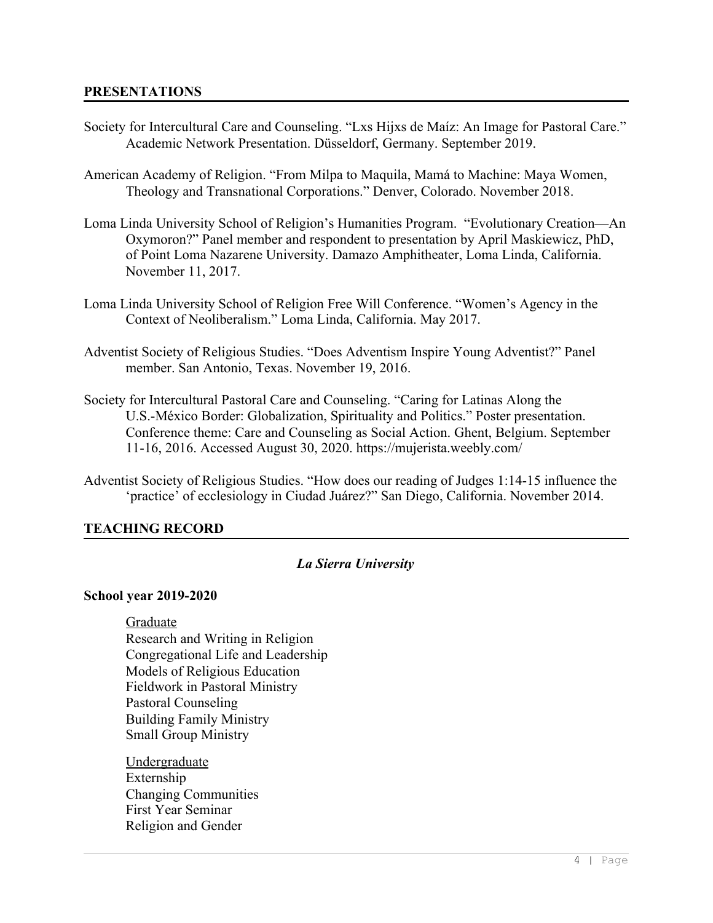#### **PRESENTATIONS**

- Society for Intercultural Care and Counseling. "Lxs Hijxs de Maíz: An Image for Pastoral Care." Academic Network Presentation. Düsseldorf, Germany. September 2019.
- American Academy of Religion. "From Milpa to Maquila, Mamá to Machine: Maya Women, Theology and Transnational Corporations." Denver, Colorado. November 2018.
- Loma Linda University School of Religion's Humanities Program. "Evolutionary Creation—An Oxymoron?" Panel member and respondent to presentation by April Maskiewicz, PhD, of Point Loma Nazarene University. Damazo Amphitheater, Loma Linda, California. November 11, 2017.
- Loma Linda University School of Religion Free Will Conference. "Women's Agency in the Context of Neoliberalism." Loma Linda, California. May 2017.
- Adventist Society of Religious Studies. "Does Adventism Inspire Young Adventist?" Panel member. San Antonio, Texas. November 19, 2016.
- Society for Intercultural Pastoral Care and Counseling. "Caring for Latinas Along the U.S.-México Border: Globalization, Spirituality and Politics." Poster presentation. Conference theme: Care and Counseling as Social Action. Ghent, Belgium. September 11-16, 2016. Accessed August 30, 2020. <https://mujerista.weebly.com/>
- Adventist Society of Religious Studies. "How does our reading of Judges 1:14-15 influence the 'practice' of ecclesiology in Ciudad Juárez?" San Diego, California. November 2014.

#### **TEACHING RECORD**

#### *La Sierra University*

#### **School year 2019-2020**

Graduate Research and Writing in Religion Congregational Life and Leadership Models of Religious Education Fieldwork in Pastoral Ministry Pastoral Counseling Building Family Ministry Small Group Ministry

Undergraduate Externship Changing Communities First Year Seminar Religion and Gender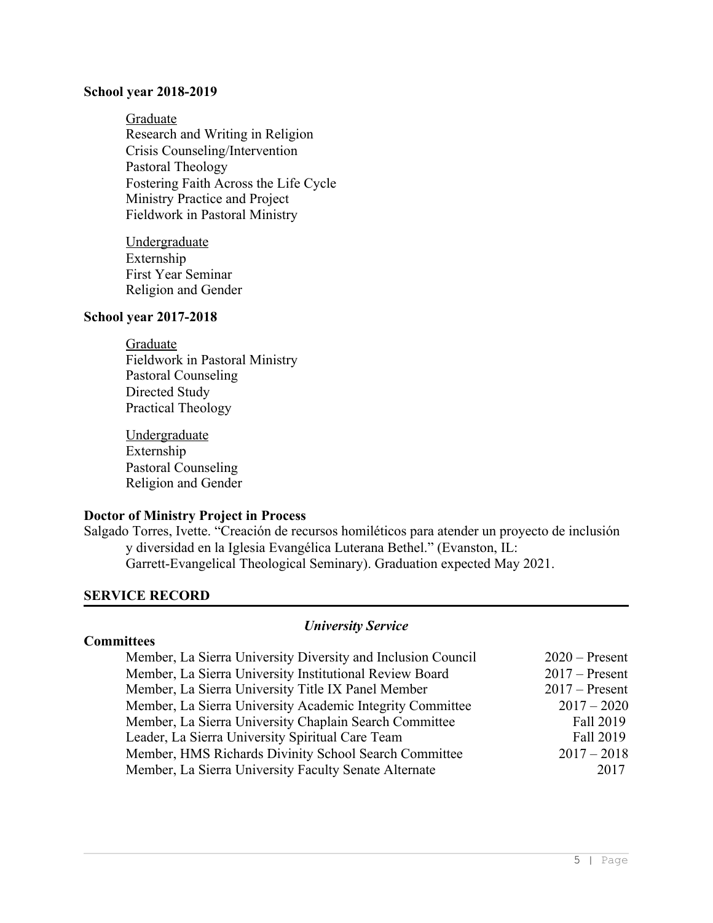#### **School year 2018-2019**

Graduate Research and Writing in Religion Crisis Counseling/Intervention Pastoral Theology Fostering Faith Across the Life Cycle Ministry Practice and Project Fieldwork in Pastoral Ministry

**Undergraduate** Externship First Year Seminar Religion and Gender

#### **School year 2017-2018**

### Graduate Fieldwork in Pastoral Ministry Pastoral Counseling Directed Study Practical Theology

**Undergraduate** Externship Pastoral Counseling Religion and Gender

### **Doctor of Ministry Project in Process**

Salgado Torres, Ivette. "Creación de recursos homiléticos para atender un proyecto de inclusión y diversidad en la Iglesia Evangélica Luterana Bethel." (Evanston, IL: Garrett-Evangelical Theological Seminary). Graduation expected May 2021.

#### **SERVICE RECORD**

#### *University Service*

| Member, La Sierra University Diversity and Inclusion Council | $2020$ – Present |
|--------------------------------------------------------------|------------------|
| Member, La Sierra University Institutional Review Board      | $2017$ – Present |
| Member, La Sierra University Title IX Panel Member           | $2017$ – Present |
| Member, La Sierra University Academic Integrity Committee    | $2017 - 2020$    |
| Member, La Sierra University Chaplain Search Committee       | Fall 2019        |
| Leader, La Sierra University Spiritual Care Team             | Fall 2019        |
| Member, HMS Richards Divinity School Search Committee        | $2017 - 2018$    |
| Member, La Sierra University Faculty Senate Alternate        | 2017             |

## **Committees**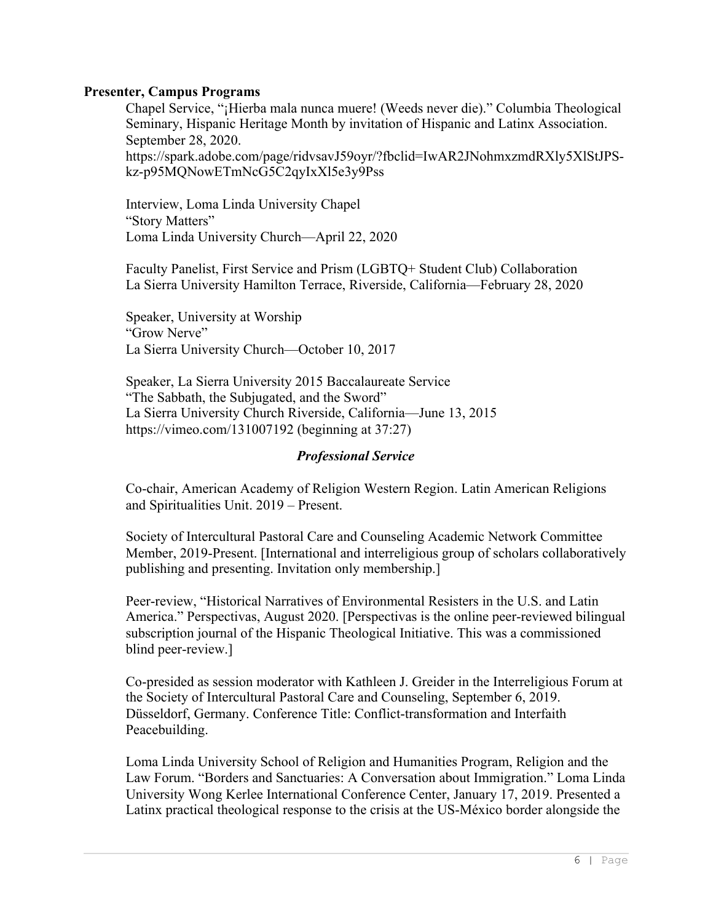### **Presenter, Campus Programs**

Chapel Service, "¡Hierba mala nunca muere! (Weeds never die)." Columbia Theological Seminary, Hispanic Heritage Month by invitation of Hispanic and Latinx Association. September 28, 2020. [https://spark.adobe.com/page/ridvsavJ59oyr/?fbclid=IwAR2JNohmxzmdRXly5XlStJPS](https://spark.adobe.com/page/ridvsavJ59oyr/?fbclid=IwAR2JNohmxzmdRXly5XlStJPS-kz-p95MQNowETmNcG5C2qyIxXl5e3y9Pss)[kz-p95MQNowETmNcG5C2qyIxXl5e3y9Pss](https://spark.adobe.com/page/ridvsavJ59oyr/?fbclid=IwAR2JNohmxzmdRXly5XlStJPS-kz-p95MQNowETmNcG5C2qyIxXl5e3y9Pss)

Interview, Loma Linda University Chapel "Story Matters" Loma Linda University Church—April 22, 2020

Faculty Panelist, First Service and Prism (LGBTQ+ Student Club) Collaboration La Sierra University Hamilton Terrace, Riverside, California—February 28, 2020

Speaker, University at Worship "Grow Nerve" La Sierra University Church—October 10, 2017

Speaker, La Sierra University 2015 Baccalaureate Service "The Sabbath, the Subjugated, and the Sword" La Sierra University Church Riverside, California—June 13, 2015 <https://vimeo.com/131007192> (beginning at 37:27)

#### *Professional Service*

Co-chair, American Academy of Religion Western Region. Latin American Religions and Spiritualities Unit. 2019 – Present.

Society of Intercultural Pastoral Care and Counseling Academic Network Committee Member, 2019-Present. [International and interreligious group of scholars collaboratively publishing and presenting. Invitation only membership.]

Peer-review, "Historical Narratives of Environmental Resisters in the U.S. and Latin America." Perspectivas, August 2020. [Perspectivas is the online peer-reviewed bilingual subscription journal of the Hispanic Theological Initiative. This was a commissioned blind peer-review.]

Co-presided as session moderator with Kathleen J. Greider in the Interreligious Forum at the Society of Intercultural Pastoral Care and Counseling, September 6, 2019. Düsseldorf, Germany. Conference Title: Conflict-transformation and Interfaith Peacebuilding.

Loma Linda University School of Religion and Humanities Program, Religion and the Law Forum. "Borders and Sanctuaries: A Conversation about Immigration." Loma Linda University Wong Kerlee International Conference Center, January 17, 2019. Presented a Latinx practical theological response to the crisis at the US-México border alongside the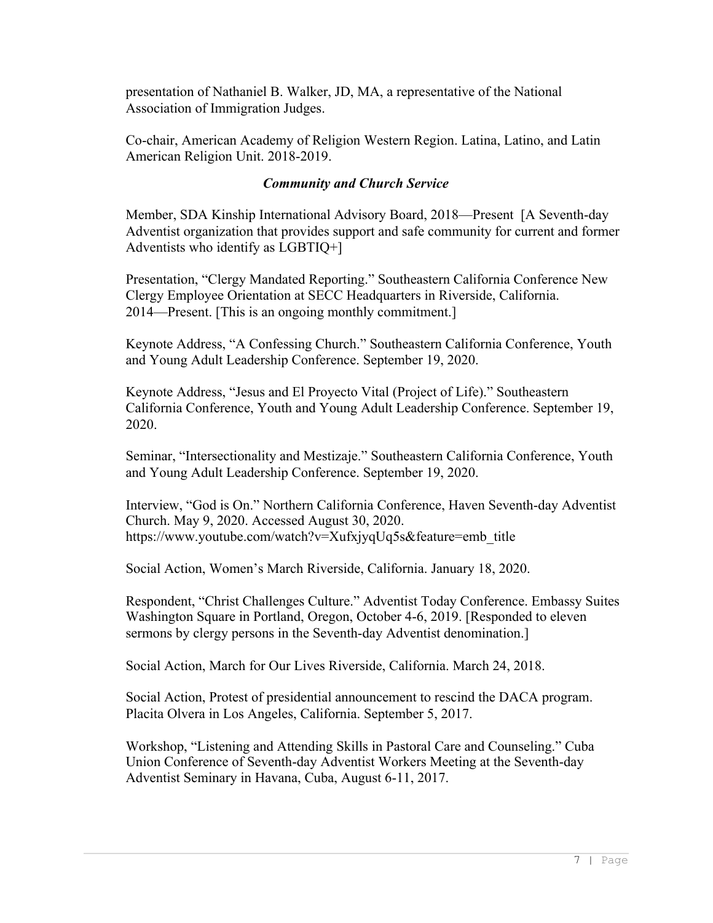presentation of Nathaniel B. Walker, JD, MA, a representative of the National Association of Immigration Judges.

Co-chair, American Academy of Religion Western Region. Latina, Latino, and Latin American Religion Unit. 2018-2019.

## *Community and Church Service*

Member, SDA Kinship International Advisory Board, 2018—Present [A Seventh-day Adventist organization that provides support and safe community for current and former Adventists who identify as LGBTIQ+]

Presentation, "Clergy Mandated Reporting." Southeastern California Conference New Clergy Employee Orientation at SECC Headquarters in Riverside, California. 2014—Present. [This is an ongoing monthly commitment.]

Keynote Address, "A Confessing Church." Southeastern California Conference, Youth and Young Adult Leadership Conference. September 19, 2020.

Keynote Address, "Jesus and El Proyecto Vital (Project of Life)." Southeastern California Conference, Youth and Young Adult Leadership Conference. September 19, 2020.

Seminar, "Intersectionality and Mestizaje." Southeastern California Conference, Youth and Young Adult Leadership Conference. September 19, 2020.

Interview, "God is On." Northern California Conference, Haven Seventh-day Adventist Church. May 9, 2020. Accessed August 30, 2020. [https://www.youtube.com/watch?v=XufxjyqUq5s&feature=emb\\_title](https://www.youtube.com/watch?v=XufxjyqUq5s&feature=emb_title)

Social Action, Women's March Riverside, California. January 18, 2020.

Respondent, "Christ Challenges Culture." Adventist Today Conference. Embassy Suites Washington Square in Portland, Oregon, October 4-6, 2019. [Responded to eleven sermons by clergy persons in the Seventh-day Adventist denomination.]

Social Action, March for Our Lives Riverside, California. March 24, 2018.

Social Action, Protest of presidential announcement to rescind the DACA program. Placita Olvera in Los Angeles, California. September 5, 2017.

Workshop, "Listening and Attending Skills in Pastoral Care and Counseling." Cuba Union Conference of Seventh-day Adventist Workers Meeting at the Seventh-day Adventist Seminary in Havana, Cuba, August 6-11, 2017.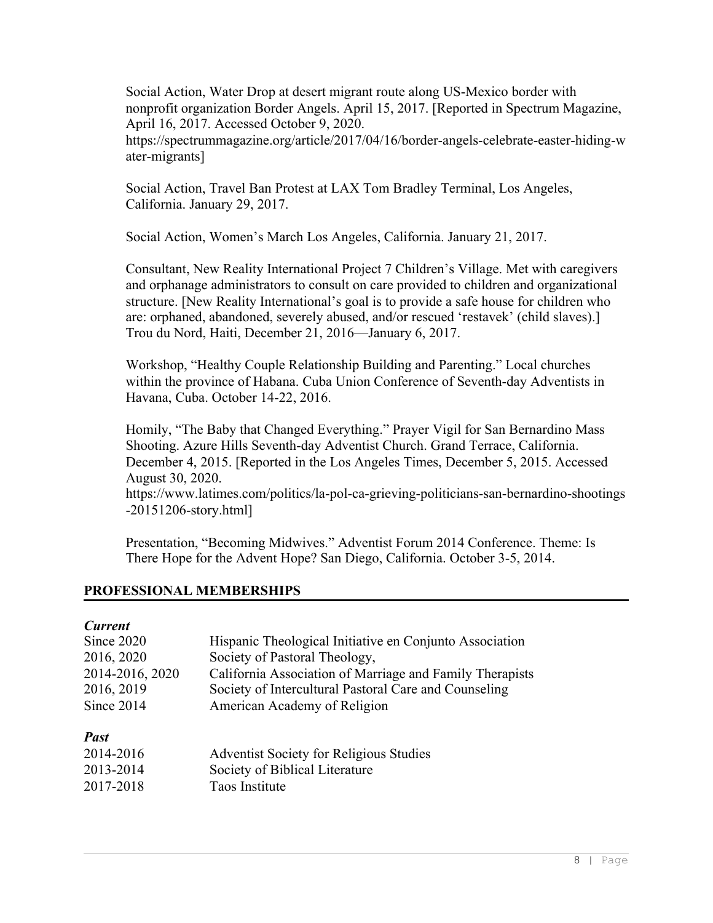Social Action, Water Drop at desert migrant route along US-Mexico border with nonprofit organization Border Angels. April 15, 2017. [Reported in Spectrum Magazine, April 16, 2017. Accessed October 9, 2020.

https://spectrummagazine.org/article/2017/04/16/border-angels-celebrate-easter-hiding-w ater-migrants]

Social Action, Travel Ban Protest at LAX Tom Bradley Terminal, Los Angeles, California. January 29, 2017.

Social Action, Women's March Los Angeles, California. January 21, 2017.

Consultant, New Reality International Project 7 Children's Village. Met with caregivers and orphanage administrators to consult on care provided to children and organizational structure. [New Reality International's goal is to provide a safe house for children who are: orphaned, abandoned, severely abused, and/or rescued 'restavek' (child slaves).] Trou du Nord, Haiti, December 21, 2016—January 6, 2017.

Workshop, "Healthy Couple Relationship Building and Parenting." Local churches within the province of Habana. Cuba Union Conference of Seventh-day Adventists in Havana, Cuba. October 14-22, 2016.

Homily, "The Baby that Changed Everything." Prayer Vigil for San Bernardino Mass Shooting. Azure Hills Seventh-day Adventist Church. Grand Terrace, California. December 4, 2015. [Reported in the Los Angeles Times, December 5, 2015. Accessed August 30, 2020.

[https://www.latimes.com/politics/la-pol-ca-grieving-politicians-san-bernardino-shootings](https://www.latimes.com/politics/la-pol-ca-grieving-politicians-san-bernardino-shootings-20151206-story.html) [-20151206-story.html\]](https://www.latimes.com/politics/la-pol-ca-grieving-politicians-san-bernardino-shootings-20151206-story.html)

Presentation, "Becoming Midwives." Adventist Forum 2014 Conference. Theme: Is There Hope for the Advent Hope? San Diego, California. October 3-5, 2014.

### **PROFESSIONAL MEMBERSHIPS**

#### *Current*

| Since 2020      | Hispanic Theological Initiative en Conjunto Association  |
|-----------------|----------------------------------------------------------|
| 2016, 2020      | Society of Pastoral Theology,                            |
| 2014-2016, 2020 | California Association of Marriage and Family Therapists |
| 2016, 2019      | Society of Intercultural Pastoral Care and Counseling    |
| Since 2014      | American Academy of Religion                             |
| <b>Past</b>     |                                                          |
| 2014-2016       | Adventist Society for Religious Studies                  |
| 2013-2014       | Society of Biblical Literature                           |
| 2017-2018       | Taos Institute                                           |
|                 |                                                          |